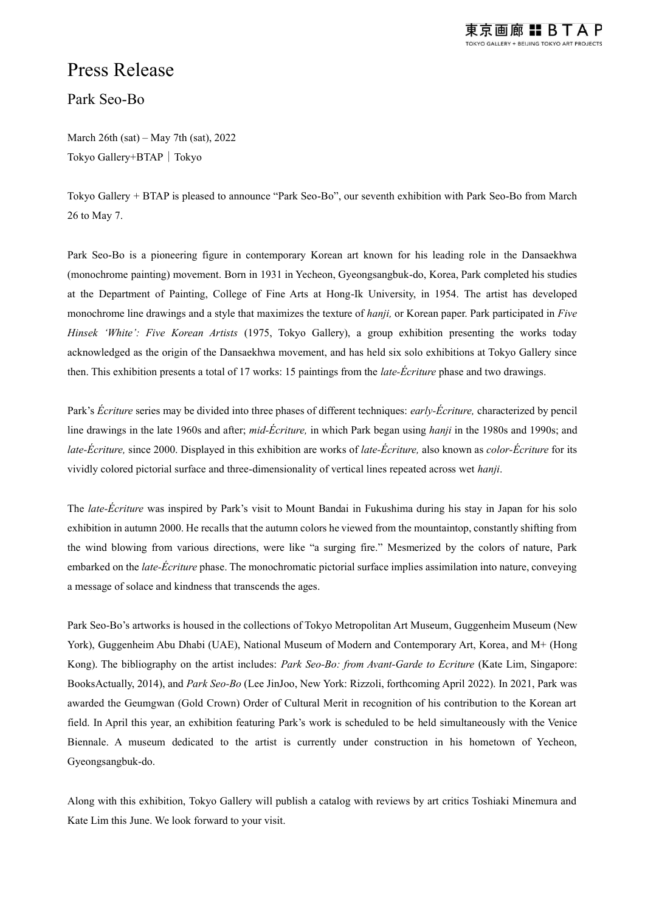

## Press Release

Park Seo-Bo

March 26th (sat) – May 7th (sat), 2022 Tokyo Gallery+BTAP | Tokyo

Tokyo Gallery + BTAP is pleased to announce "Park Seo-Bo", our seventh exhibition with Park Seo-Bo from March 26 to May 7.

Park Seo-Bo is a pioneering figure in contemporary Korean art known for his leading role in the Dansaekhwa (monochrome painting) movement. Born in 1931 in Yecheon, Gyeongsangbuk-do, Korea, Park completed his studies at the Department of Painting, College of Fine Arts at Hong-Ik University, in 1954. The artist has developed monochrome line drawings and a style that maximizes the texture of *hanji,* or Korean paper. Park participated in *Five Hinsek 'White': Five Korean Artists* (1975, Tokyo Gallery), a group exhibition presenting the works today acknowledged as the origin of the Dansaekhwa movement, and has held six solo exhibitions at Tokyo Gallery since then. This exhibition presents a total of 17 works: 15 paintings from the *late-Écriture* phase and two drawings.

Park's *Écriture* series may be divided into three phases of different techniques: *early-Écriture,* characterized by pencil line drawings in the late 1960s and after; *mid-Écriture,* in which Park began using *hanji* in the 1980s and 1990s; and *late-Écriture,* since 2000. Displayed in this exhibition are works of *late-Écriture,* also known as *color-Écriture* for its vividly colored pictorial surface and three-dimensionality of vertical lines repeated across wet *hanji*.

The *late-Écriture* was inspired by Park's visit to Mount Bandai in Fukushima during his stay in Japan for his solo exhibition in autumn 2000. He recalls that the autumn colors he viewed from the mountaintop, constantly shifting from the wind blowing from various directions, were like "a surging fire." Mesmerized by the colors of nature, Park embarked on the *late-Écriture* phase. The monochromatic pictorial surface implies assimilation into nature, conveying a message of solace and kindness that transcends the ages.

Park Seo-Bo's artworks is housed in the collections of Tokyo Metropolitan Art Museum, Guggenheim Museum (New York), Guggenheim Abu Dhabi (UAE), National Museum of Modern and Contemporary Art, Korea, and M+ (Hong Kong). The bibliography on the artist includes: *Park Seo-Bo: from Avant-Garde to Ecriture* (Kate Lim, Singapore: BooksActually, 2014), and *Park Seo-Bo* (Lee JinJoo, New York: Rizzoli, forthcoming April 2022). In 2021, Park was awarded the Geumgwan (Gold Crown) Order of Cultural Merit in recognition of his contribution to the Korean art field. In April this year, an exhibition featuring Park's work is scheduled to be held simultaneously with the Venice Biennale. A museum dedicated to the artist is currently under construction in his hometown of Yecheon, Gyeongsangbuk-do.

Along with this exhibition, Tokyo Gallery will publish a catalog with reviews by art critics Toshiaki Minemura and Kate Lim this June. We look forward to your visit.